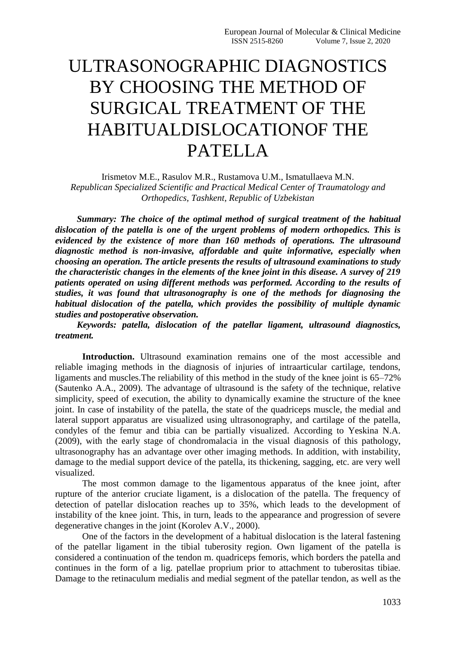## ULTRASONOGRAPHIC DIAGNOSTICS BY CHOOSING THE METHOD OF SURGICAL TREATMENT OF THE HABITUALDISLOCATIONOF THE PATELLA

Irismetov M.E., Rasulov M.R., Rustamova U.M., Ismatullaeva M.N. *Republican Specialized Scientific and Practical Medical Center of Traumatology and Orthopedics, Tashkent, Republic of Uzbekistan*

*Summary: The choice of the optimal method of surgical treatment of the habitual dislocation of the patella is one of the urgent problems of modern orthopedics. This is evidenced by the existence of more than 160 methods of operations. The ultrasound diagnostic method is non-invasive, affordable and quite informative, especially when choosing an operation. The article presents the results of ultrasound examinations to study the characteristic changes in the elements of the knee joint in this disease. A survey of 219 patients operated on using different methods was performed. According to the results of studies, it was found that ultrasonography is one of the methods for diagnosing the habitual dislocation of the patella, which provides the possibility of multiple dynamic studies and postoperative observation.*

*Keywords: patella, dislocation of the patellar ligament, ultrasound diagnostics, treatment.*

Introduction. Ultrasound examination remains one of the most accessible and reliable imaging methods in the diagnosis of injuries of intraarticular cartilage, tendons, ligaments and muscles.The reliability of this method in the study of the knee joint is 65–72% (Sautenko A.A., 2009). The advantage of ultrasound is the safety of the technique, relative simplicity, speed of execution, the ability to dynamically examine the structure of the knee joint. In case of instability of the patella, the state of the quadriceps muscle, the medial and lateral support apparatus are visualized using ultrasonography, and cartilage of the patella, condyles of the femur and tibia can be partially visualized. According to Yeskina N.A. (2009), with the early stage of chondromalacia in the visual diagnosis of this pathology, ultrasonography has an advantage over other imaging methods. In addition, with instability, damage to the medial support device of the patella, its thickening, sagging, etc. are very well visualized.

The most common damage to the ligamentous apparatus of the knee joint, after rupture of the anterior cruciate ligament, is a dislocation of the patella. The frequency of detection of patellar dislocation reaches up to 35%, which leads to the development of instability of the knee joint. This, in turn, leads to the appearance and progression of severe degenerative changes in the joint (Korolev A.V., 2000).

One of the factors in the development of a habitual dislocation is the lateral fastening of the patellar ligament in the tibial tuberosity region. Own ligament of the patella is considered a continuation of the tendon m. quadriceps femoris, which borders the patella and continues in the form of a lig. patellae proprium prior to attachment to tuberositas tibiae. Damage to the retinaculum medialis and medial segment of the patellar tendon, as well as the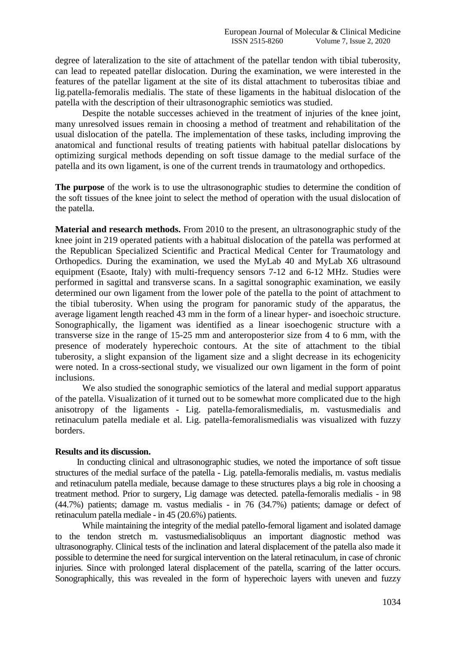degree of lateralization to the site of attachment of the patellar tendon with tibial tuberosity, can lead to repeated patellar dislocation. During the examination, we were interested in the features of the patellar ligament at the site of its distal attachment to tuberositas tibiae and lig.patella-femoralis medialis. The state of these ligaments in the habitual dislocation of the patella with the description of their ultrasonographic semiotics was studied.

Despite the notable successes achieved in the treatment of injuries of the knee joint, many unresolved issues remain in choosing a method of treatment and rehabilitation of the usual dislocation of the patella. The implementation of these tasks, including improving the anatomical and functional results of treating patients with habitual patellar dislocations by optimizing surgical methods depending on soft tissue damage to the medial surface of the patella and its own ligament, is one of the current trends in traumatology and orthopedics.

**The purpose** of the work is to use the ultrasonographic studies to determine the condition of the soft tissues of the knee joint to select the method of operation with the usual dislocation of the patella.

**Material and research methods.** From 2010 to the present, an ultrasonographic study of the knee joint in 219 operated patients with a habitual dislocation of the patella was performed at the Republican Specialized Scientific and Practical Medical Center for Traumatology and Orthopedics. During the examination, we used the MyLab 40 and MyLab X6 ultrasound equipment (Esaote, Italy) with multi-frequency sensors 7-12 and 6-12 MHz. Studies were performed in sagittal and transverse scans. In a sagittal sonographic examination, we easily determined our own ligament from the lower pole of the patella to the point of attachment to the tibial tuberosity. When using the program for panoramic study of the apparatus, the average ligament length reached 43 mm in the form of a linear hyper- and isoechoic structure. Sonographically, the ligament was identified as a linear isoechogenic structure with a transverse size in the range of 15-25 mm and anteroposterior size from 4 to 6 mm, with the presence of moderately hyperechoic contours. At the site of attachment to the tibial tuberosity, a slight expansion of the ligament size and a slight decrease in its echogenicity were noted. In a cross-sectional study, we visualized our own ligament in the form of point inclusions.

We also studied the sonographic semiotics of the lateral and medial support apparatus of the patella. Visualization of it turned out to be somewhat more complicated due to the high anisotropy of the ligaments - Lig. patella-femoralismedialis, m. vastusmedialis and retinaculum patella mediale et al. Lig. patella-femoralismedialis was visualized with fuzzy borders.

## **Results and its discussion.**

In conducting clinical and ultrasonographic studies, we noted the importance of soft tissue structures of the medial surface of the patella - Lig. patella-femoralis medialis, m. vastus medialis and retinaculum patella mediale, because damage to these structures plays a big role in choosing a treatment method. Prior to surgery, Lig damage was detected. patella-femoralis medialis - in 98 (44.7%) patients; damage m. vastus medialis - in 76 (34.7%) patients; damage or defect of retinaculum patella mediale - in 45 (20.6%) patients.

While maintaining the integrity of the medial patello-femoral ligament and isolated damage to the tendon stretch m. vastusmedialisobliquus an important diagnostic method was ultrasonography. Clinical tests of the inclination and lateral displacement of the patella also made it possible to determine the need for surgical intervention on the lateral retinaculum, in case of chronic injuries. Since with prolonged lateral displacement of the patella, scarring of the latter occurs. Sonographically, this was revealed in the form of hyperechoic layers with uneven and fuzzy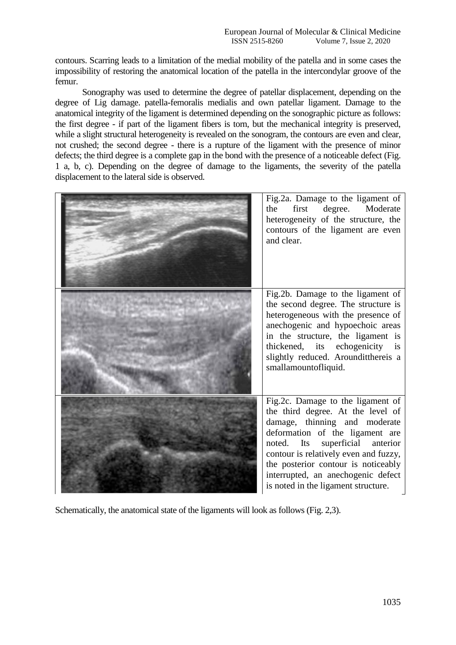contours. Scarring leads to a limitation of the medial mobility of the patella and in some cases the impossibility of restoring the anatomical location of the patella in the intercondylar groove of the femur.

Sonography was used to determine the degree of patellar displacement, depending on the degree of Lig damage. patella-femoralis medialis and own patellar ligament. Damage to the anatomical integrity of the ligament is determined depending on the sonographic picture as follows: the first degree - if part of the ligament fibers is torn, but the mechanical integrity is preserved, while a slight structural heterogeneity is revealed on the sonogram, the contours are even and clear, not crushed; the second degree - there is a rupture of the ligament with the presence of minor defects; the third degree is a complete gap in the bond with the presence of a noticeable defect (Fig. 1 a, b, c). Depending on the degree of damage to the ligaments, the severity of the patella displacement to the lateral side is observed.

| Fig.2a. Damage to the ligament of<br>first<br>degree.<br>Moderate<br>the<br>heterogeneity of the structure, the<br>contours of the ligament are even<br>and clear.                                                                                                                                                                                  |
|-----------------------------------------------------------------------------------------------------------------------------------------------------------------------------------------------------------------------------------------------------------------------------------------------------------------------------------------------------|
| Fig.2b. Damage to the ligament of<br>the second degree. The structure is<br>heterogeneous with the presence of<br>anechogenic and hypoechoic areas<br>in the structure, the ligament is<br>thickened, its echogenicity is<br>slightly reduced. Arounditthereis a<br>smallamountofliquid.                                                            |
| Fig.2c. Damage to the ligament of<br>the third degree. At the level of<br>damage, thinning and moderate<br>deformation of the ligament are<br>superficial<br>Its<br>noted.<br>anterior<br>contour is relatively even and fuzzy,<br>the posterior contour is noticeably<br>interrupted, an anechogenic defect<br>is noted in the ligament structure. |

Schematically, the anatomical state of the ligaments will look as follows (Fig. 2,3).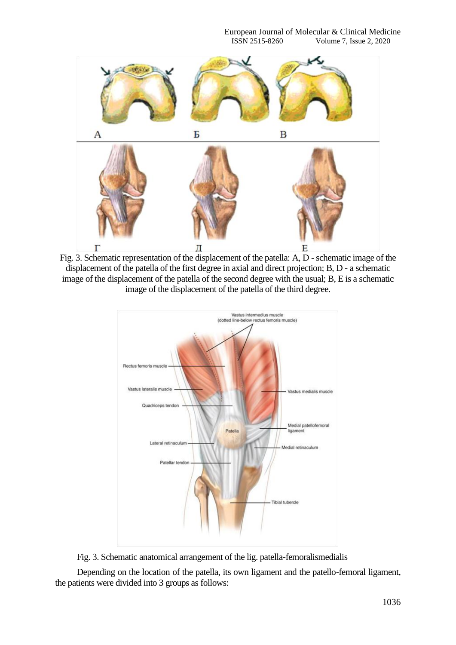

Fig. 3. Schematic representation of the displacement of the patella:  $\overline{A}$ ,  $\overline{D}$  - schematic image of the displacement of the patella of the first degree in axial and direct projection; B, D - a schematic image of the displacement of the patella of the second degree with the usual; B, E is a schematic image of the displacement of the patella of the third degree.



Fig. 3. Schematic anatomical arrangement of the lig. patella-femoralismedialis

Depending on the location of the patella, its own ligament and the patello-femoral ligament, the patients were divided into 3 groups as follows: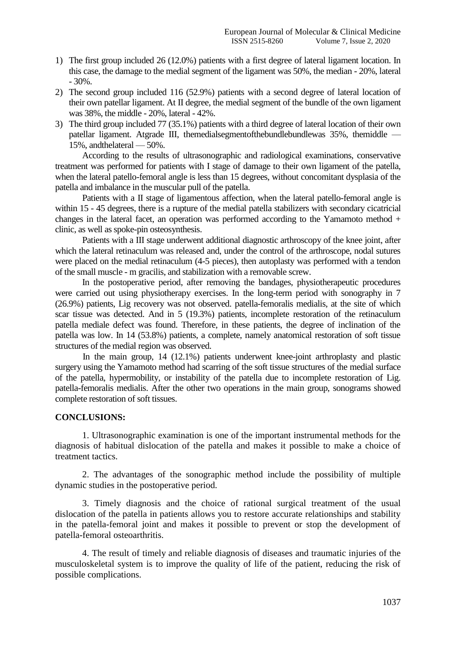- 1) The first group included 26 (12.0%) patients with a first degree of lateral ligament location. In this case, the damage to the medial segment of the ligament was 50%, the median - 20%, lateral  $-30\%$ .
- 2) The second group included 116 (52.9%) patients with a second degree of lateral location of their own patellar ligament. At II degree, the medial segment of the bundle of the own ligament was 38%, the middle - 20%, lateral - 42%.
- 3) The third group included 77 (35.1%) patients with a third degree of lateral location of their own patellar ligament. Atgrade III, themedialsegmentofthebundlebundlewas 35%, themiddle — 15%, andthelateral — 50%.

According to the results of ultrasonographic and radiological examinations, conservative treatment was performed for patients with I stage of damage to their own ligament of the patella, when the lateral patello-femoral angle is less than 15 degrees, without concomitant dysplasia of the patella and imbalance in the muscular pull of the patella.

Patients with a II stage of ligamentous affection, when the lateral patello-femoral angle is within 15 - 45 degrees, there is a rupture of the medial patella stabilizers with secondary cicatricial changes in the lateral facet, an operation was performed according to the Yamamoto method + clinic, as well as spoke-pin osteosynthesis.

Patients with a III stage underwent additional diagnostic arthroscopy of the knee joint, after which the lateral retinaculum was released and, under the control of the arthroscope, nodal sutures were placed on the medial retinaculum (4-5 pieces), then autoplasty was performed with a tendon of the small muscle - m gracilis, and stabilization with a removable screw.

In the postoperative period, after removing the bandages, physiotherapeutic procedures were carried out using physiotherapy exercises. In the long-term period with sonography in 7 (26.9%) patients, Lig recovery was not observed. patella-femoralis medialis, at the site of which scar tissue was detected. And in 5 (19.3%) patients, incomplete restoration of the retinaculum patella mediale defect was found. Therefore, in these patients, the degree of inclination of the patella was low. In 14 (53.8%) patients, a complete, namely anatomical restoration of soft tissue structures of the medial region was observed.

In the main group, 14 (12.1%) patients underwent knee-joint arthroplasty and plastic surgery using the Yamamoto method had scarring of the soft tissue structures of the medial surface of the patella, hypermobility, or instability of the patella due to incomplete restoration of Lig. patella-femoralis medialis. After the other two operations in the main group, sonograms showed complete restoration of soft tissues.

## **CONCLUSIONS:**

1. Ultrasonographic examination is one of the important instrumental methods for the diagnosis of habitual dislocation of the patella and makes it possible to make a choice of treatment tactics.

2. The advantages of the sonographic method include the possibility of multiple dynamic studies in the postoperative period.

3. Timely diagnosis and the choice of rational surgical treatment of the usual dislocation of the patella in patients allows you to restore accurate relationships and stability in the patella-femoral joint and makes it possible to prevent or stop the development of patella-femoral osteoarthritis.

4. The result of timely and reliable diagnosis of diseases and traumatic injuries of the musculoskeletal system is to improve the quality of life of the patient, reducing the risk of possible complications.